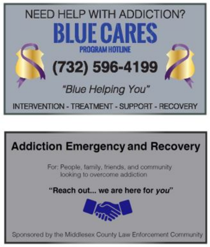

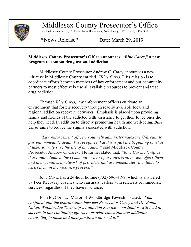

Middlesex County Prosecutor's Office

25 Kirkpatrick Street, 3rd Floor, New Brunswick, New Jersey, 08901 (732) 745-3300

\*News Release\* Date: March 29, 2019

## **Middlesex County Prosecutor's Office announces, "***Blue Cares***," a new program to combat drug use and addiction**

Middlesex County Prosecutor Andrew C. Carey announces a new initiative in Middlesex County entitled, *"Blue Cares."* Its mission is to coordinate efforts between members of law enforcement and our community partners to most effectively use all available resources to prevent and treat drug addiction.

Through *Blue Cares,* law enforcement officers cultivate an environment that fosters recovery through readily available local and regional addiction recovery networks. Emphasis is placed upon providing family and friends of the addicted with assistance to get their loved ones the help they need. In addition to directly promoting health and well-being, *Blue Cares* aims to reduce the stigma associated with addiction.

"*Law enforcement officers routinely administer naloxone (Narcan) to prevent immediate death. We recognize that this is just the beginning of what it takes to truly save the life of an addict,"* said Middlesex County Prosecutor Andrew C. Carey. He further stated that, *"Blue Cares identifies those individuals in the community who require intervention, and offers them and their families a network of providers that are immediately available to assist them in the recovery process."*

*Blue Cares* has a 24-hour hotline (732) 596-4199, which is answered by Peer Recovery coaches who can assist callers with referrals or immediate services, regardless if they have insurance.

John McCormac, Mayor of Woodbridge Township stated, *"I am confident that the coordination between Prosecutor Carey and Dr. Bonnie Nolan, Woodbridge Township's Addiction Service' coordinator, will lead to success in our continuing efforts to provide education and addiction counseling to those and their families who need it."*